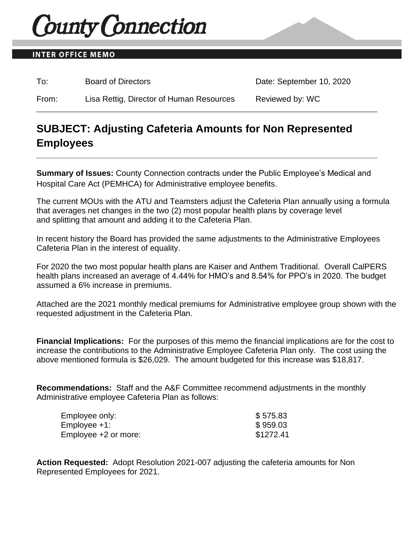# **County Connection**

### **INTER OFFICE MEMO**

To: Board of Directors **Date: September 10, 2020** 

From: Lisa Rettig, Director of Human Resources Reviewed by: WC

## **SUBJECT: Adjusting Cafeteria Amounts for Non Represented Employees**

**Summary of Issues:** County Connection contracts under the Public Employee's Medical and Hospital Care Act (PEMHCA) for Administrative employee benefits.

The current MOUs with the ATU and Teamsters adjust the Cafeteria Plan annually using a formula that averages net changes in the two (2) most popular health plans by coverage level and splitting that amount and adding it to the Cafeteria Plan.

In recent history the Board has provided the same adjustments to the Administrative Employees Cafeteria Plan in the interest of equality.

For 2020 the two most popular health plans are Kaiser and Anthem Traditional. Overall CalPERS health plans increased an average of 4.44% for HMO's and 8.54% for PPO's in 2020. The budget assumed a 6% increase in premiums.

Attached are the 2021 monthly medical premiums for Administrative employee group shown with the requested adjustment in the Cafeteria Plan.

**Financial Implications:** For the purposes of this memo the financial implications are for the cost to increase the contributions to the Administrative Employee Cafeteria Plan only. The cost using the above mentioned formula is \$26,029. The amount budgeted for this increase was \$18,817.

**Recommendations:** Staff and the A&F Committee recommend adjustments in the monthly Administrative employee Cafeteria Plan as follows:

| Employee only:       | \$575.83  |
|----------------------|-----------|
| $Emplovee +1$ :      | \$959.03  |
| Employee +2 or more: | \$1272.41 |

**Action Requested:** Adopt Resolution 2021-007 adjusting the cafeteria amounts for Non Represented Employees for 2021.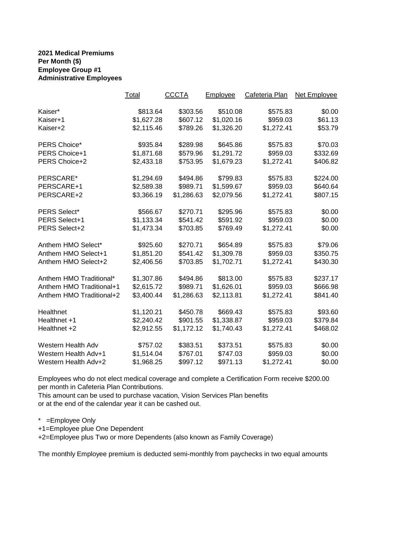#### **2021 Medical Premiums Per Month (\$) Employee Group #1 Administrative Employees**

|                          | Total      | <b>CCCTA</b> | Employee   | Cafeteria Plan | Net Employee |
|--------------------------|------------|--------------|------------|----------------|--------------|
| Kaiser*                  | \$813.64   | \$303.56     | \$510.08   | \$575.83       | \$0.00       |
| Kaiser+1                 | \$1,627.28 | \$607.12     | \$1,020.16 | \$959.03       | \$61.13      |
| Kaiser+2                 | \$2,115.46 | \$789.26     | \$1,326.20 | \$1,272.41     | \$53.79      |
| PERS Choice*             | \$935.84   | \$289.98     | \$645.86   | \$575.83       | \$70.03      |
| PERS Choice+1            | \$1,871.68 | \$579.96     | \$1,291.72 | \$959.03       | \$332.69     |
| PERS Choice+2            | \$2,433.18 | \$753.95     | \$1,679.23 | \$1,272.41     | \$406.82     |
| PERSCARE*                | \$1,294.69 | \$494.86     | \$799.83   | \$575.83       | \$224.00     |
| PERSCARE+1               | \$2,589.38 | \$989.71     | \$1,599.67 | \$959.03       | \$640.64     |
| PERSCARE+2               | \$3,366.19 | \$1,286.63   | \$2,079.56 | \$1,272.41     | \$807.15     |
| PERS Select*             | \$566.67   | \$270.71     | \$295.96   | \$575.83       | \$0.00       |
| PERS Select+1            | \$1,133.34 | \$541.42     | \$591.92   | \$959.03       | \$0.00       |
| PERS Select+2            | \$1,473.34 | \$703.85     | \$769.49   | \$1,272.41     | \$0.00       |
| Anthem HMO Select*       | \$925.60   | \$270.71     | \$654.89   | \$575.83       | \$79.06      |
| Anthem HMO Select+1      | \$1,851.20 | \$541.42     | \$1,309.78 | \$959.03       | \$350.75     |
| Anthem HMO Select+2      | \$2,406.56 | \$703.85     | \$1,702.71 | \$1,272.41     | \$430.30     |
| Anthem HMO Traditional*  | \$1,307.86 | \$494.86     | \$813.00   | \$575.83       | \$237.17     |
| Anthem HMO Traditional+1 | \$2,615.72 | \$989.71     | \$1,626.01 | \$959.03       | \$666.98     |
| Anthem HMO Traditional+2 | \$3,400.44 | \$1,286.63   | \$2,113.81 | \$1,272.41     | \$841.40     |
| Healthnet                | \$1,120.21 | \$450.78     | \$669.43   | \$575.83       | \$93.60      |
| Healthnet +1             | \$2,240.42 | \$901.55     | \$1,338.87 | \$959.03       | \$379.84     |
| Healthnet +2             | \$2,912.55 | \$1,172.12   | \$1,740.43 | \$1,272.41     | \$468.02     |
| Western Health Adv       | \$757.02   | \$383.51     | \$373.51   | \$575.83       | \$0.00       |
| Western Health Adv+1     | \$1,514.04 | \$767.01     | \$747.03   | \$959.03       | \$0.00       |
| Western Health Adv+2     | \$1,968.25 | \$997.12     | \$971.13   | \$1,272.41     | \$0.00       |

Employees who do not elect medical coverage and complete a Certification Form receive \$200.00 per month in Cafeteria Plan Contributions.

This amount can be used to purchase vacation, Vision Services Plan benefits or at the end of the calendar year it can be cashed out.

\* =Employee Only

+1=Employee plue One Dependent

+2=Employee plus Two or more Dependents (also known as Family Coverage)

The monthly Employee premium is deducted semi-monthly from paychecks in two equal amounts